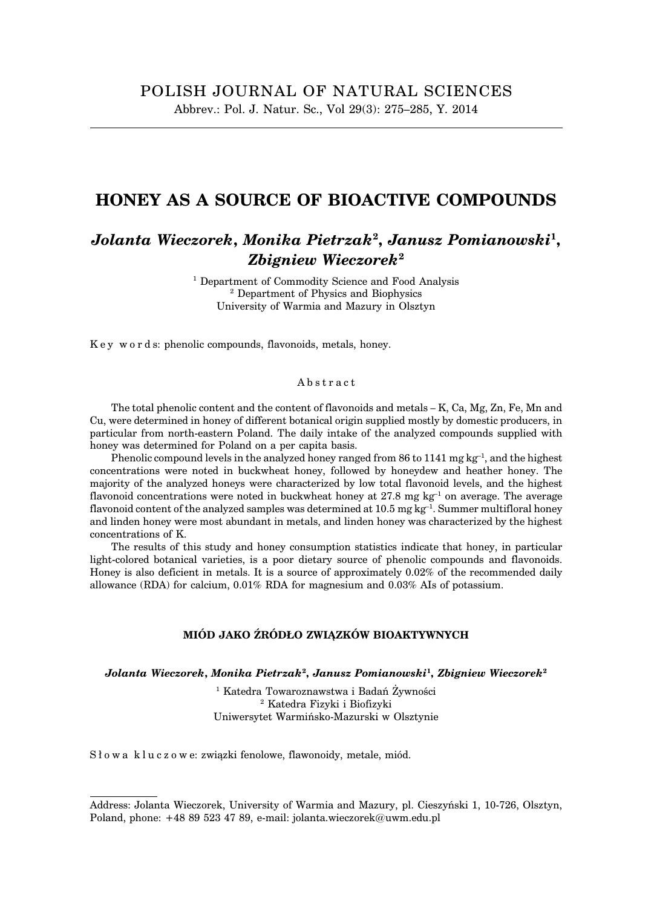## **HONEY AS A SOURCE OF BIOACTIVE COMPOUNDS**

# *Jolanta Wieczorek***,** *Monika Pietrzak***<sup>2</sup> ,** *Janusz Pomianowski***<sup>1</sup> ,** *Zbigniew Wieczorek***<sup>2</sup>**

<sup>1</sup> Department of Commodity Science and Food Analysis <sup>2</sup> Department of Physics and Biophysics University of Warmia and Mazury in Olsztyn

K e y w o r d s: phenolic compounds, flavonoids, metals, honey.

#### Abstract

The total phenolic content and the content of flavonoids and metals – K, Ca, Mg, Zn, Fe, Mn and Cu, were determined in honey of different botanical origin supplied mostly by domestic producers, in particular from north-eastern Poland. The daily intake of the analyzed compounds supplied with honey was determined for Poland on a per capita basis.

Phenolic compound levels in the analyzed honey ranged from 86 to 1141 mg  $kg^{-1}$ , and the highest concentrations were noted in buckwheat honey, followed by honeydew and heather honey. The majority of the analyzed honeys were characterized by low total flavonoid levels, and the highest flavonoid concentrations were noted in buckwheat honey at  $27.8 \text{ mg kg}^{-1}$  on average. The average flavonoid content of the analyzed samples was determined at 10.5 mg kg<sup>-1</sup>. Summer multifloral honey and linden honey were most abundant in metals, and linden honey was characterized by the highest concentrations of K.

The results of this study and honey consumption statistics indicate that honey, in particular light-colored botanical varieties, is a poor dietary source of phenolic compounds and flavonoids. Honey is also deficient in metals. It is a source of approximately 0.02% of the recommended daily allowance (RDA) for calcium, 0.01% RDA for magnesium and 0.03% AIs of potassium.

#### **MIÓD JAKO ŹRÓDŁO ZWIĄZKÓW BIOAKTYWNYCH**

*Jolanta Wieczorek***,** *Monika Pietrzak***<sup>2</sup> ,** *Janusz Pomianowski***<sup>1</sup> ,** *Zbigniew Wieczorek***<sup>2</sup>**

<sup>1</sup> Katedra Towaroznawstwa i Badań Żywności <sup>2</sup> Katedra Fizyki i Biofizyki Uniwersytet Warmińsko-Mazurski w Olsztynie

Słowa kluczowe: związki fenolowe, flawonoidy, metale, miód.

Address: Jolanta Wieczorek, University of Warmia and Mazury, pl. Cieszyński 1, 10-726, Olsztyn, Poland, phone: +48 89 523 47 89, e-mail: jolanta.wieczorek@uwm.edu.pl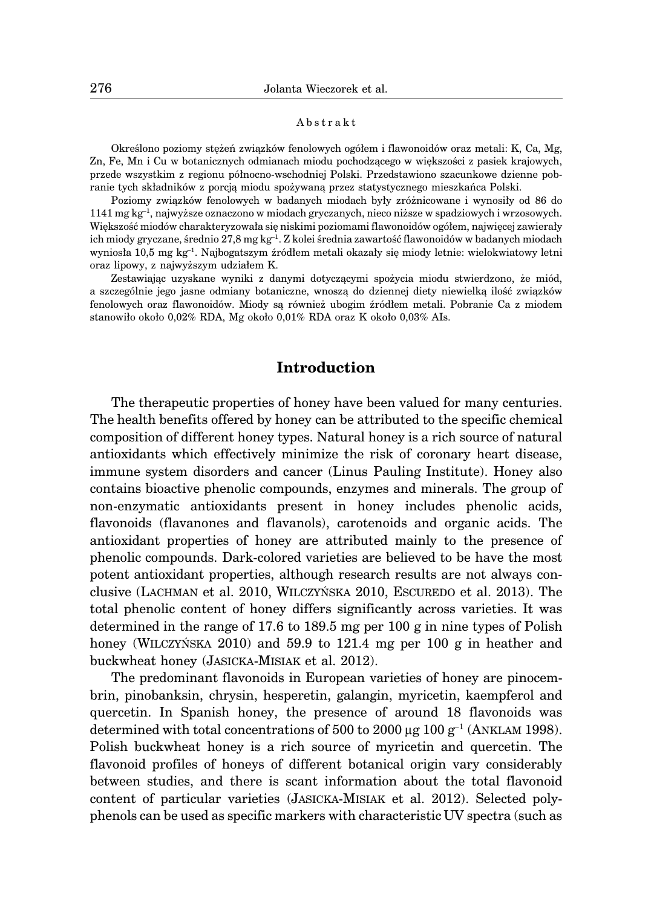#### Abstrakt

Określono poziomy stężeń związków fenolowych ogółem i flawonoidów oraz metali: K, Ca, Mg, Zn, Fe, Mn i Cu w botanicznych odmianach miodu pochodzącego w większości z pasiek krajowych, przede wszystkim z regionu północno-wschodniej Polski. Przedstawiono szacunkowe dzienne pobranie tych składników z porcją miodu spożywaną przez statystycznego mieszkańca Polski.

Poziomy związków fenolowych w badanych miodach były zróżnicowane i wynosiły od 86 do 1141 mg kg–1, najwyższe oznaczono w miodach gryczanych, nieco niższe w spadziowych i wrzosowych. Większość miodów charakteryzowała się niskimi poziomami flawonoidów ogółem, najwięcej zawierały ich miody gryczane, średnio 27,8 mg kg<sup>-1</sup>. Z kolei średnia zawartość flawonoidów w badanych miodach wyniosła 10,5 mg kg–1. Najbogatszym źródłem metali okazały się miody letnie: wielokwiatowy letni oraz lipowy, z najwyższym udziałem K.

Zestawiając uzyskane wyniki z danymi dotyczącymi spożycia miodu stwierdzono, że miód, a szczególnie jego jasne odmiany botaniczne, wnoszą do dziennej diety niewielką ilość związków fenolowych oraz flawonoidów. Miody są również ubogim źródłem metali. Pobranie Ca z miodem stanowiło około 0,02% RDA, Mg około 0,01% RDA oraz K około 0,03% AIs.

## **Introduction**

The therapeutic properties of honey have been valued for many centuries. The health benefits offered by honey can be attributed to the specific chemical composition of different honey types. Natural honey is a rich source of natural antioxidants which effectively minimize the risk of coronary heart disease, immune system disorders and cancer (Linus Pauling Institute). Honey also contains bioactive phenolic compounds, enzymes and minerals. The group of non-enzymatic antioxidants present in honey includes phenolic acids, flavonoids (flavanones and flavanols), carotenoids and organic acids. The antioxidant properties of honey are attributed mainly to the presence of phenolic compounds. Dark-colored varieties are believed to be have the most potent antioxidant properties, although research results are not always conclusive (LACHMAN et al. 2010, WILCZYŃSKA 2010, ESCUREDO et al. 2013). The total phenolic content of honey differs significantly across varieties. It was determined in the range of 17.6 to 189.5 mg per 100 g in nine types of Polish honey (WILCZYŃSKA 2010) and 59.9 to 121.4 mg per 100 g in heather and buckwheat honey (JASICKA-MISIAK et al. 2012).

The predominant flavonoids in European varieties of honey are pinocembrin, pinobanksin, chrysin, hesperetin, galangin, myricetin, kaempferol and quercetin. In Spanish honey, the presence of around 18 flavonoids was determined with total concentrations of 500 to 2000  $\mu$ g 100 g<sup>-1</sup> (ANKLAM 1998). Polish buckwheat honey is a rich source of myricetin and quercetin. The flavonoid profiles of honeys of different botanical origin vary considerably between studies, and there is scant information about the total flavonoid content of particular varieties (JASICKA-MISIAK et al. 2012). Selected polyphenols can be used as specific markers with characteristic UV spectra (such as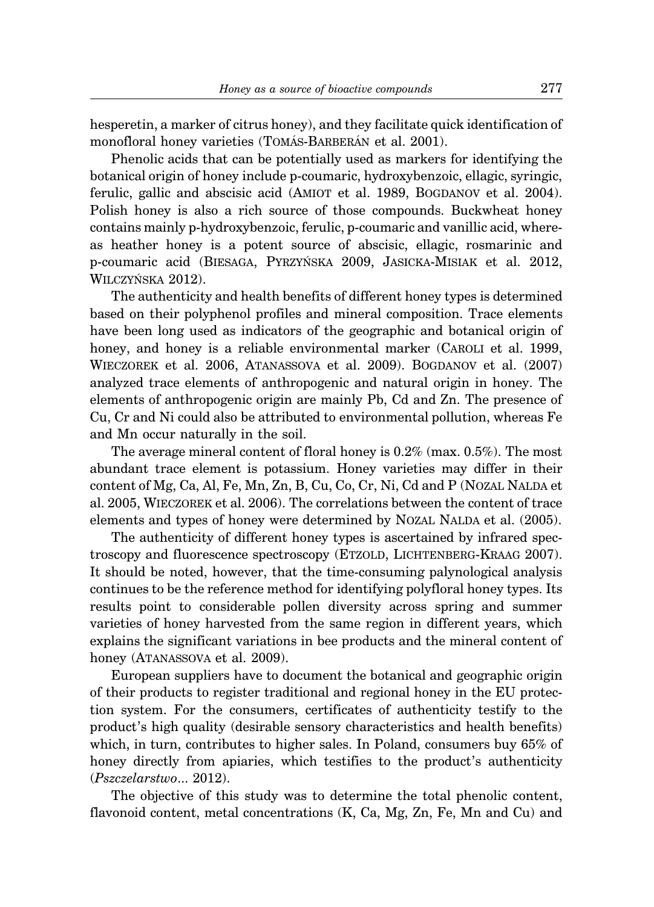hesperetin, a marker of citrus honey), and they facilitate quick identification of monofloral honey varieties (TOMÁS-BARBERÁN et al. 2001).

Phenolic acids that can be potentially used as markers for identifying the botanical origin of honey include p-coumaric, hydroxybenzoic, ellagic, syringic, ferulic, gallic and abscisic acid (AMIOT et al. 1989, BOGDANOV et al. 2004). Polish honey is also a rich source of those compounds. Buckwheat honey contains mainly p-hydroxybenzoic, ferulic, p-coumaric and vanillic acid, whereas heather honey is a potent source of abscisic, ellagic, rosmarinic and p-coumaric acid (BIESAGA, PYRZYŃSKA 2009, JASICKA-MISIAK et al. 2012, WILCZYŃSKA 2012).

The authenticity and health benefits of different honey types is determined based on their polyphenol profiles and mineral composition. Trace elements have been long used as indicators of the geographic and botanical origin of honey, and honey is a reliable environmental marker (CAROLI et al. 1999, WIECZOREK et al. 2006, ATANASSOVA et al. 2009). BOGDANOV et al. (2007) analyzed trace elements of anthropogenic and natural origin in honey. The elements of anthropogenic origin are mainly Pb, Cd and Zn. The presence of Cu, Cr and Ni could also be attributed to environmental pollution, whereas Fe and Mn occur naturally in the soil.

The average mineral content of floral honey is 0.2% (max. 0.5%). The most abundant trace element is potassium. Honey varieties may differ in their content of Mg, Ca, Al, Fe, Mn, Zn, B, Cu, Co, Cr, Ni, Cd and P (NOZAL NALDA et al. 2005, WIECZOREK et al. 2006). The correlations between the content of trace elements and types of honey were determined by NOZAL NALDA et al. (2005).

The authenticity of different honey types is ascertained by infrared spectroscopy and fluorescence spectroscopy (ETZOLD, LICHTENBERG-KRAAG 2007). It should be noted, however, that the time-consuming palynological analysis continues to be the reference method for identifying polyfloral honey types. Its results point to considerable pollen diversity across spring and summer varieties of honey harvested from the same region in different years, which explains the significant variations in bee products and the mineral content of honey (ATANASSOVA et al. 2009).

European suppliers have to document the botanical and geographic origin of their products to register traditional and regional honey in the EU protection system. For the consumers, certificates of authenticity testify to the product's high quality (desirable sensory characteristics and health benefits) which, in turn, contributes to higher sales. In Poland, consumers buy 65% of honey directly from apiaries, which testifies to the product's authenticity (*Pszczelarstwo*... 2012).

The objective of this study was to determine the total phenolic content, flavonoid content, metal concentrations (K, Ca, Mg, Zn, Fe, Mn and Cu) and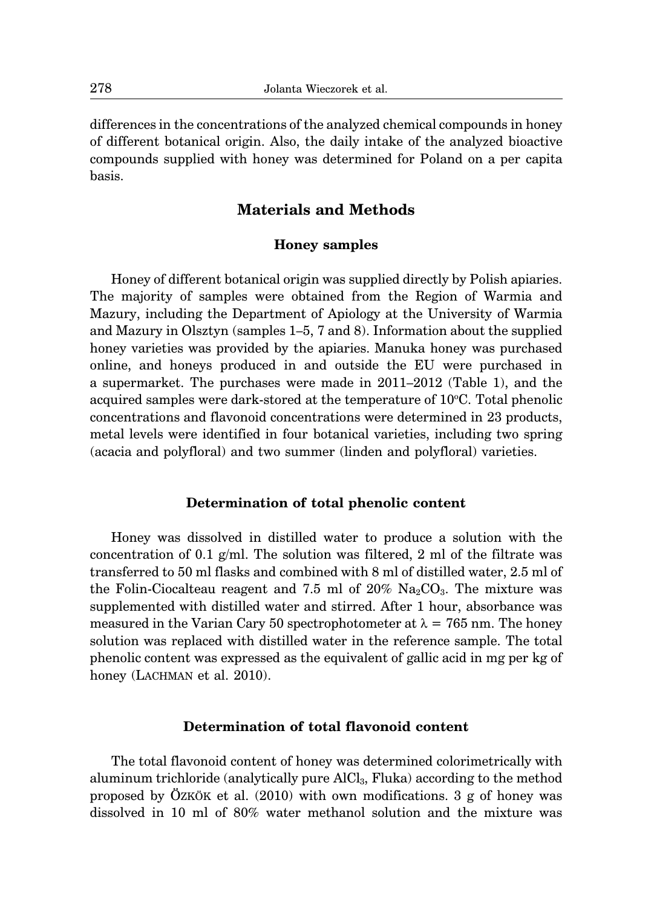differences in the concentrations of the analyzed chemical compounds in honey of different botanical origin. Also, the daily intake of the analyzed bioactive compounds supplied with honey was determined for Poland on a per capita basis.

# **Materials and Methods**

### **Honey samples**

Honey of different botanical origin was supplied directly by Polish apiaries. The majority of samples were obtained from the Region of Warmia and Mazury, including the Department of Apiology at the University of Warmia and Mazury in Olsztyn (samples 1–5, 7 and 8). Information about the supplied honey varieties was provided by the apiaries. Manuka honey was purchased online, and honeys produced in and outside the EU were purchased in a supermarket. The purchases were made in 2011–2012 (Table 1), and the acquired samples were dark-stored at the temperature of 10°C. Total phenolic concentrations and flavonoid concentrations were determined in 23 products, metal levels were identified in four botanical varieties, including two spring (acacia and polyfloral) and two summer (linden and polyfloral) varieties.

### **Determination of total phenolic content**

Honey was dissolved in distilled water to produce a solution with the concentration of 0.1 g/ml. The solution was filtered, 2 ml of the filtrate was transferred to 50 ml flasks and combined with 8 ml of distilled water, 2.5 ml of the Folin-Ciocalteau reagent and 7.5 ml of  $20\%$  Na<sub>2</sub>CO<sub>3</sub>. The mixture was supplemented with distilled water and stirred. After 1 hour, absorbance was measured in the Varian Cary 50 spectrophotometer at  $\lambda = 765$  nm. The honey solution was replaced with distilled water in the reference sample. The total phenolic content was expressed as the equivalent of gallic acid in mg per kg of honey (LACHMAN et al. 2010).

## **Determination of total flavonoid content**

The total flavonoid content of honey was determined colorimetrically with aluminum trichloride (analytically pure AlCl3, Fluka) according to the method proposed by ÖZKÖK et al.  $(2010)$  with own modifications. 3 g of honey was dissolved in 10 ml of 80% water methanol solution and the mixture was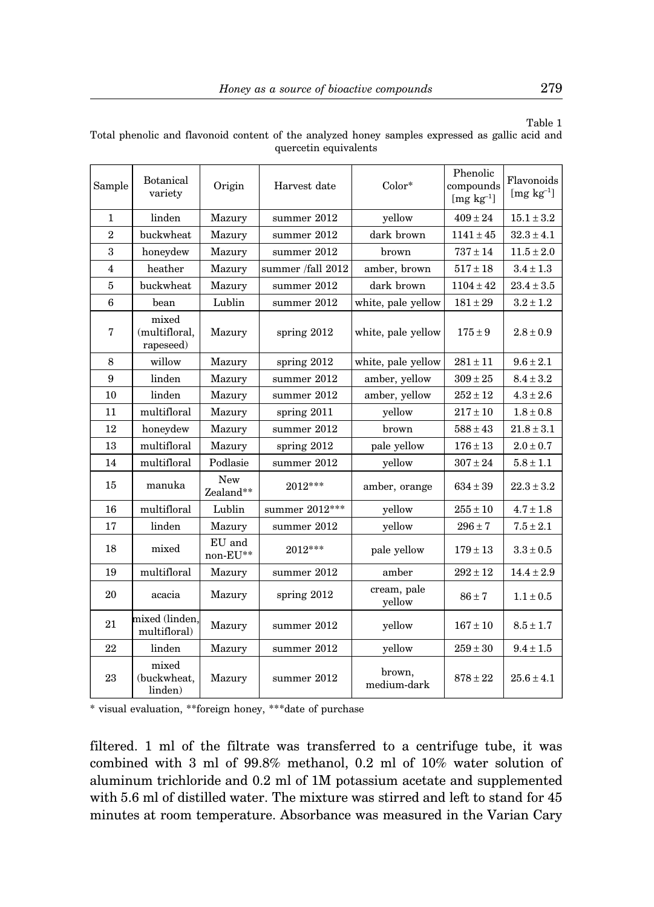| Sample          | Botanical<br>variety                | Origin                      | Harvest date      | $Color*$              | Phenolic<br>compounds<br>$[mg kg^{-1}]$ | Flavonoids<br>$[mg kg^{-1}]$ |  |
|-----------------|-------------------------------------|-----------------------------|-------------------|-----------------------|-----------------------------------------|------------------------------|--|
| $\mathbf{1}$    | linden                              | Mazury                      | summer 2012       | yellow                | $409 + 24$                              | $15.1\pm3.2$                 |  |
| $\overline{2}$  | buckwheat                           | Mazury                      | summer 2012       | dark brown            | $1141 \pm 45$                           | $32.3 \pm 4.1$               |  |
| 3               | honeydew                            | Mazury                      | summer 2012       | brown                 | $737 \pm 14$                            | $11.5 \pm 2.0$               |  |
| $\overline{4}$  | heather                             | Mazury                      | summer /fall 2012 | amber, brown          | $517 \pm 18$                            | $3.4\pm1.3$                  |  |
| $\overline{5}$  | buckwheat                           | Mazury                      | summer 2012       | dark brown            | $1104 \pm 42$                           | $23.4 \pm 3.5$               |  |
| $6\phantom{1}6$ | bean                                | Lublin                      | summer 2012       | white, pale yellow    | $181 \pm 29$                            | $3.2 \pm 1.2$                |  |
| 7               | mixed<br>(multifloral,<br>rapeseed) | Mazury                      | spring $2012$     | white, pale yellow    | $175 \pm 9$                             | $2.8 \pm 0.9$                |  |
| 8               | willow                              | Mazury                      | spring 2012       | white, pale yellow    | $281 \pm 11$                            | $9.6 \pm 2.1$                |  |
| 9               | linden                              | Mazury                      | summer 2012       | amber, yellow         | $309 \pm 25$                            | $8.4 \pm 3.2$                |  |
| 10              | linden                              | Mazury                      | summer 2012       | amber, yellow         | $252 \pm 12$                            | $4.3 \pm 2.6$                |  |
| 11              | multifloral                         | Mazury                      | spring 2011       | yellow                | $217 \pm 10$                            | $1.8 \pm 0.8$                |  |
| 12              | honeydew                            | Mazury                      | summer 2012       | brown                 | $588 \pm 43$                            | $21.8 \pm 3.1$               |  |
| 13              | multifloral                         | Mazury                      | spring 2012       | pale yellow           | $176 \pm 13$                            | $2.0 \pm 0.7$                |  |
| 14              | multifloral                         | Podlasie                    | summer 2012       | yellow                | $307 \pm 24$                            | $5.8 \pm 1.1$                |  |
| 15              | manuka                              | New<br>Zealand**            | $2012***$         | amber, orange         | $634 \pm 39$                            | $22.3 \pm 3.2$               |  |
| 16              | multifloral                         | Lublin                      | summer 2012***    | yellow                | $255\pm10$                              | $4.7 \pm 1.8$                |  |
| 17              | linden                              | Mazury                      | summer 2012       | yellow                | $296 \pm 7$                             | $7.5 \pm 2.1$                |  |
| 18              | mixed                               | EU and<br>$\text{non-EU**}$ | $2012***$         | pale yellow           | $179 \pm 13$                            | $3.3 \pm 0.5$                |  |
| 19              | multifloral                         | Mazury                      | summer 2012       | amber                 | $292 \pm 12$                            | $14.4 \pm 2.9$               |  |
| 20              | acacia                              | Mazury                      | spring $2012$     | cream, pale<br>yellow | $86 \pm 7$                              | $1.1 \pm 0.5$                |  |
| 21              | mixed (linden.<br>multifloral)      | Mazury                      | summer 2012       | yellow                | $167 \pm 10$                            | $8.5 \pm 1.7$                |  |
| 22              | linden                              | Mazury                      | summer 2012       | yellow                | $259\pm30$                              | $9.4 \pm 1.5$                |  |
| 23              | mixed<br>(buckwheat,<br>linden)     | Mazury                      | summer 2012       | brown,<br>medium-dark | $878 \pm 22$                            | $25.6 \pm 4.1$               |  |

Table 1 Total phenolic and flavonoid content of the analyzed honey samples expressed as gallic acid and quercetin equivalents

\* visual evaluation, \*\*foreign honey, \*\*\*date of purchase

filtered. 1 ml of the filtrate was transferred to a centrifuge tube, it was combined with 3 ml of 99.8% methanol, 0.2 ml of 10% water solution of aluminum trichloride and 0.2 ml of 1M potassium acetate and supplemented with 5.6 ml of distilled water. The mixture was stirred and left to stand for 45 minutes at room temperature. Absorbance was measured in the Varian Cary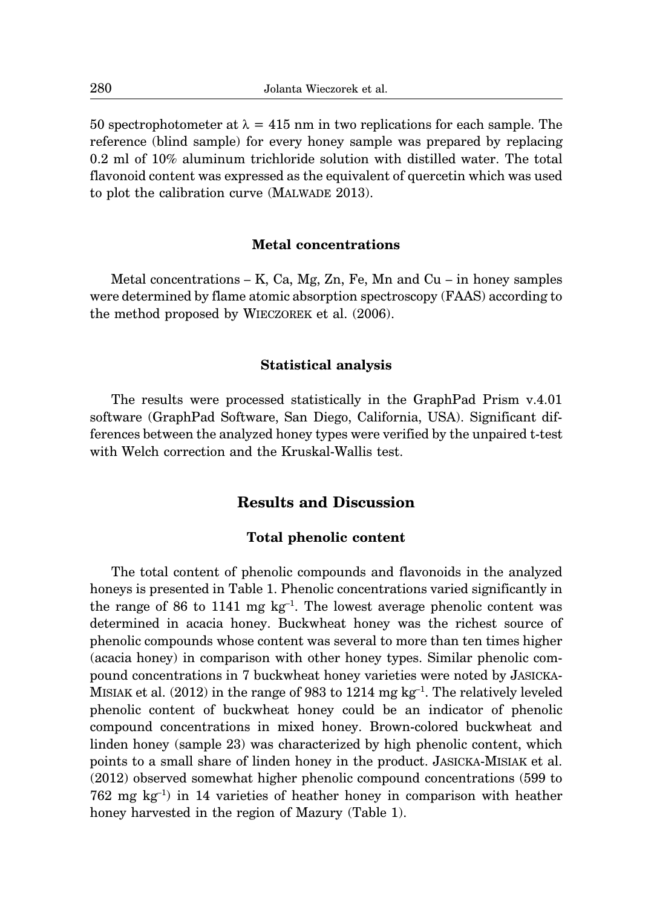50 spectrophotometer at  $\lambda = 415$  nm in two replications for each sample. The reference (blind sample) for every honey sample was prepared by replacing 0.2 ml of 10% aluminum trichloride solution with distilled water. The total flavonoid content was expressed as the equivalent of quercetin which was used to plot the calibration curve (MALWADE 2013).

#### **Metal concentrations**

Metal concentrations  $-$  K, Ca, Mg, Zn, Fe, Mn and Cu  $-$  in honey samples were determined by flame atomic absorption spectroscopy (FAAS) according to the method proposed by WIECZOREK et al. (2006).

### **Statistical analysis**

The results were processed statistically in the GraphPad Prism v.4.01 software (GraphPad Software, San Diego, California, USA). Significant differences between the analyzed honey types were verified by the unpaired t-test with Welch correction and the Kruskal-Wallis test.

## **Results and Discussion**

#### **Total phenolic content**

The total content of phenolic compounds and flavonoids in the analyzed honeys is presented in Table 1. Phenolic concentrations varied significantly in the range of 86 to 1141 mg  $kg^{-1}$ . The lowest average phenolic content was determined in acacia honey. Buckwheat honey was the richest source of phenolic compounds whose content was several to more than ten times higher (acacia honey) in comparison with other honey types. Similar phenolic compound concentrations in 7 buckwheat honey varieties were noted by JASICKA-MISIAK et al. (2012) in the range of 983 to 1214 mg kg–1. The relatively leveled phenolic content of buckwheat honey could be an indicator of phenolic compound concentrations in mixed honey. Brown-colored buckwheat and linden honey (sample 23) was characterized by high phenolic content, which points to a small share of linden honey in the product. JASICKA-MISIAK et al. (2012) observed somewhat higher phenolic compound concentrations (599 to 762 mg  $kg^{-1}$ ) in 14 varieties of heather honey in comparison with heather honey harvested in the region of Mazury (Table 1).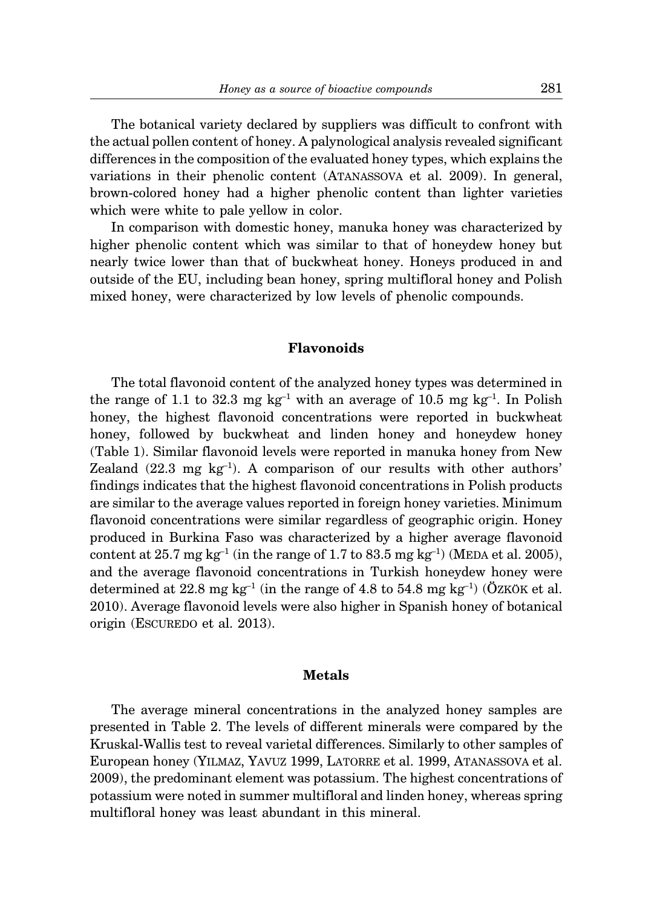The botanical variety declared by suppliers was difficult to confront with the actual pollen content of honey. A palynological analysis revealed significant differences in the composition of the evaluated honey types, which explains the variations in their phenolic content (ATANASSOVA et al. 2009). In general, brown-colored honey had a higher phenolic content than lighter varieties which were white to pale yellow in color.

In comparison with domestic honey, manuka honey was characterized by higher phenolic content which was similar to that of honeydew honey but nearly twice lower than that of buckwheat honey. Honeys produced in and outside of the EU, including bean honey, spring multifloral honey and Polish mixed honey, were characterized by low levels of phenolic compounds.

## **Flavonoids**

The total flavonoid content of the analyzed honey types was determined in the range of 1.1 to 32.3 mg  $kg^{-1}$  with an average of 10.5 mg  $kg^{-1}$ . In Polish honey, the highest flavonoid concentrations were reported in buckwheat honey, followed by buckwheat and linden honey and honeydew honey (Table 1). Similar flavonoid levels were reported in manuka honey from New Zealand  $(22.3 \text{ mg kg}^{-1})$ . A comparison of our results with other authors' findings indicates that the highest flavonoid concentrations in Polish products are similar to the average values reported in foreign honey varieties. Minimum flavonoid concentrations were similar regardless of geographic origin. Honey produced in Burkina Faso was characterized by a higher average flavonoid content at 25.7 mg kg<sup>-1</sup> (in the range of 1.7 to 83.5 mg kg<sup>-1</sup>) (MEDA et al. 2005), and the average flavonoid concentrations in Turkish honeydew honey were determined at 22.8 mg kg<sup>-1</sup> (in the range of 4.8 to 54.8 mg kg<sup>-1</sup>) ( $\ddot{O}$ ZKÖK et al. 2010). Average flavonoid levels were also higher in Spanish honey of botanical origin (ESCUREDO et al. 2013).

### **Metals**

The average mineral concentrations in the analyzed honey samples are presented in Table 2. The levels of different minerals were compared by the Kruskal-Wallis test to reveal varietal differences. Similarly to other samples of European honey (YILMAZ, YAVUZ 1999, LATORRE et al. 1999, ATANASSOVA et al. 2009), the predominant element was potassium. The highest concentrations of potassium were noted in summer multifloral and linden honey, whereas spring multifloral honey was least abundant in this mineral.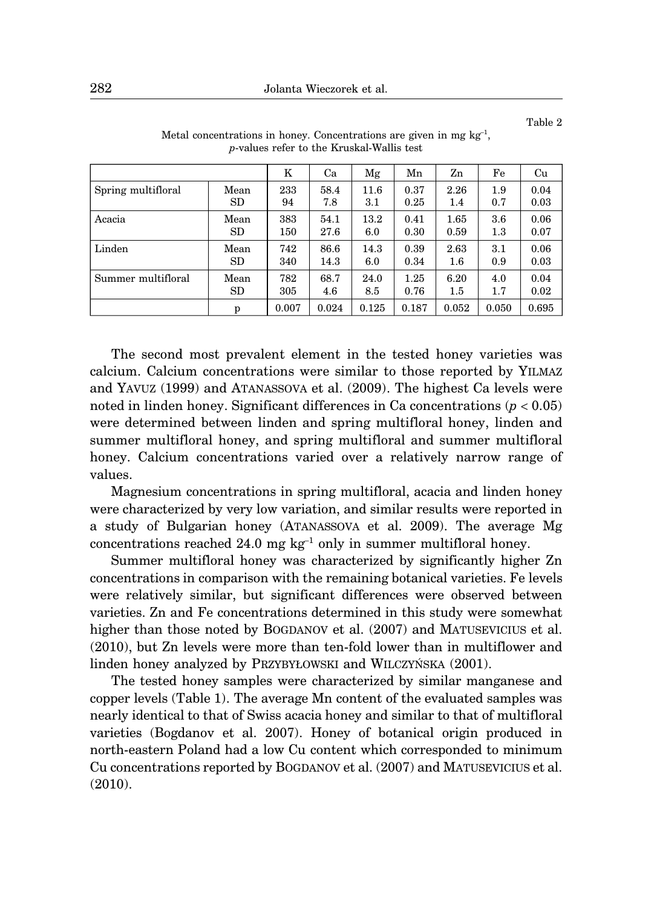Table 2

|                    |           | K     | Ca    | Mg    | Mn    | Zn      | Fe      | Cu    |
|--------------------|-----------|-------|-------|-------|-------|---------|---------|-------|
| Spring multifloral | Mean      | 233   | 58.4  | 11.6  | 0.37  | 2.26    | 1.9     | 0.04  |
|                    | SD.       | 94    | 7.8   | 3.1   | 0.25  | 1.4     | 0.7     | 0.03  |
| Acacia             | Mean      | 383   | 54.1  | 13.2  | 0.41  | 1.65    | 3.6     | 0.06  |
|                    | <b>SD</b> | 150   | 27.6  | 6.0   | 0.30  | 0.59    | $1.3\,$ | 0.07  |
| Linden             | Mean      | 742   | 86.6  | 14.3  | 0.39  | 2.63    | 3.1     | 0.06  |
|                    | SD        | 340   | 14.3  | 6.0   | 0.34  | $1.6\,$ | 0.9     | 0.03  |
| Summer multifloral | Mean      | 782   | 68.7  | 24.0  | 1.25  | 6.20    | 4.0     | 0.04  |
|                    | SD        | 305   | 4.6   | 8.5   | 0.76  | $1.5\,$ | $1.7\,$ | 0.02  |
|                    | p         | 0.007 | 0.024 | 0.125 | 0.187 | 0.052   | 0.050   | 0.695 |

Metal concentrations in honey. Concentrations are given in mg  $kg^{-1}$ . *p*-values refer to the Kruskal-Wallis test

The second most prevalent element in the tested honey varieties was calcium. Calcium concentrations were similar to those reported by YILMAZ and YAVUZ (1999) and ATANASSOVA et al. (2009). The highest Ca levels were noted in linden honey. Significant differences in Ca concentrations (*p* < 0.05) were determined between linden and spring multifloral honey, linden and summer multifloral honey, and spring multifloral and summer multifloral honey. Calcium concentrations varied over a relatively narrow range of values.

Magnesium concentrations in spring multifloral, acacia and linden honey were characterized by very low variation, and similar results were reported in a study of Bulgarian honey (ATANASSOVA et al. 2009). The average Mg concentrations reached 24.0 mg  $kg^{-1}$  only in summer multifloral honey.

Summer multifloral honey was characterized by significantly higher Zn concentrations in comparison with the remaining botanical varieties. Fe levels were relatively similar, but significant differences were observed between varieties. Zn and Fe concentrations determined in this study were somewhat higher than those noted by BOGDANOV et al. (2007) and MATUSEVICIUS et al. (2010), but Zn levels were more than ten-fold lower than in multiflower and linden honey analyzed by PRZYBYŁOWSKI and WILCZYŃSKA (2001).

The tested honey samples were characterized by similar manganese and copper levels (Table 1). The average Mn content of the evaluated samples was nearly identical to that of Swiss acacia honey and similar to that of multifloral varieties (Bogdanov et al. 2007). Honey of botanical origin produced in north-eastern Poland had a low Cu content which corresponded to minimum Cu concentrations reported by BOGDANOV et al. (2007) and MATUSEVICIUS et al. (2010).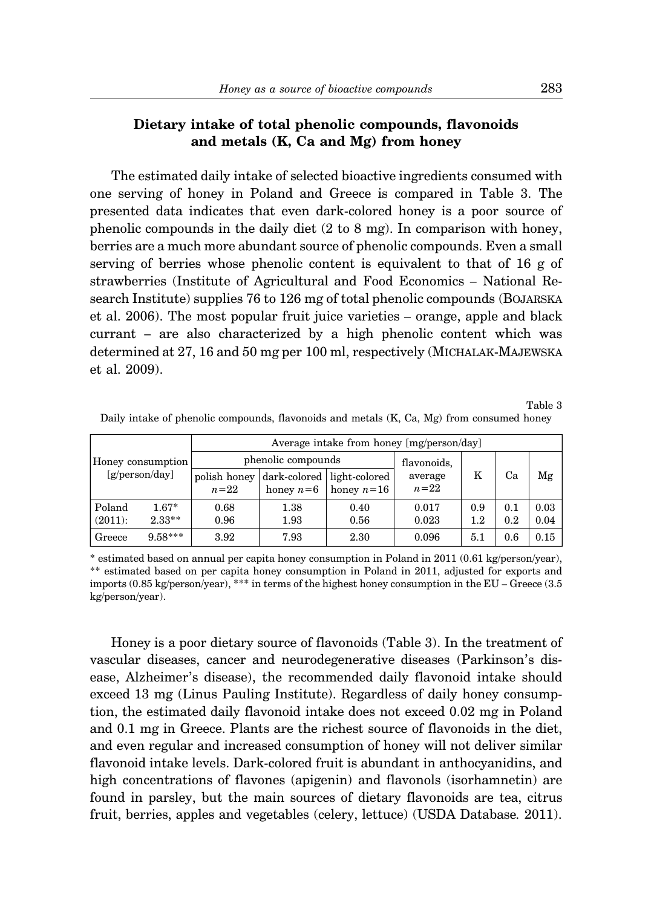## **Dietary intake of total phenolic compounds, flavonoids and metals (K, Ca and Mg) from honey**

The estimated daily intake of selected bioactive ingredients consumed with one serving of honey in Poland and Greece is compared in Table 3. The presented data indicates that even dark-colored honey is a poor source of phenolic compounds in the daily diet (2 to 8 mg). In comparison with honey, berries are a much more abundant source of phenolic compounds. Even a small serving of berries whose phenolic content is equivalent to that of 16 g of strawberries (Institute of Agricultural and Food Economics – National Research Institute) supplies 76 to 126 mg of total phenolic compounds (BOJARSKA et al. 2006). The most popular fruit juice varieties – orange, apple and black currant – are also characterized by a high phenolic content which was determined at 27, 16 and 50 mg per 100 ml, respectively (MICHALAK-MAJEWSKA et al. 2009).

Table 3

| Honey consumption<br>$[g/\text{person/day}]$ |                     | Average intake from honey [mg/person/day] |                                           |              |                   |                 |            |              |  |  |
|----------------------------------------------|---------------------|-------------------------------------------|-------------------------------------------|--------------|-------------------|-----------------|------------|--------------|--|--|
|                                              |                     | phenolic compounds                        | flavonoids,                               |              |                   |                 |            |              |  |  |
|                                              |                     | polish honey<br>$n=22$                    | dark-colored light-colored<br>honey $n=6$ | honey $n=16$ | average<br>$n=22$ | Κ               | Ca         | Mg           |  |  |
| Poland<br>$(2011)$ :                         | $1.67*$<br>$2.33**$ | 0.68<br>0.96                              | 1.38<br>1.93                              | 0.40<br>0.56 | 0.017<br>0.023    | 0.9<br>$^{1.2}$ | 0.1<br>0.2 | 0.03<br>0.04 |  |  |
| Greece                                       | $9.58***$           | 3.92                                      | 7.93                                      | 2.30         | 0.096             | 5.1             | 0.6        | 0.15         |  |  |

Daily intake of phenolic compounds, flavonoids and metals (K, Ca, Mg) from consumed honey

\* estimated based on annual per capita honey consumption in Poland in 2011 (0.61 kg/person/year), \*\* estimated based on per capita honey consumption in Poland in 2011, adjusted for exports and imports (0.85 kg/person/year), \*\*\* in terms of the highest honey consumption in the EU – Greece (3.5 kg/person/year).

Honey is a poor dietary source of flavonoids (Table 3). In the treatment of vascular diseases, cancer and neurodegenerative diseases (Parkinson's disease, Alzheimer's disease), the recommended daily flavonoid intake should exceed 13 mg (Linus Pauling Institute). Regardless of daily honey consumption, the estimated daily flavonoid intake does not exceed 0.02 mg in Poland and 0.1 mg in Greece. Plants are the richest source of flavonoids in the diet, and even regular and increased consumption of honey will not deliver similar flavonoid intake levels. Dark-colored fruit is abundant in anthocyanidins, and high concentrations of flavones (apigenin) and flavonols (isorhamnetin) are found in parsley, but the main sources of dietary flavonoids are tea, citrus fruit, berries, apples and vegetables (celery, lettuce) (USDA Database*.* 2011).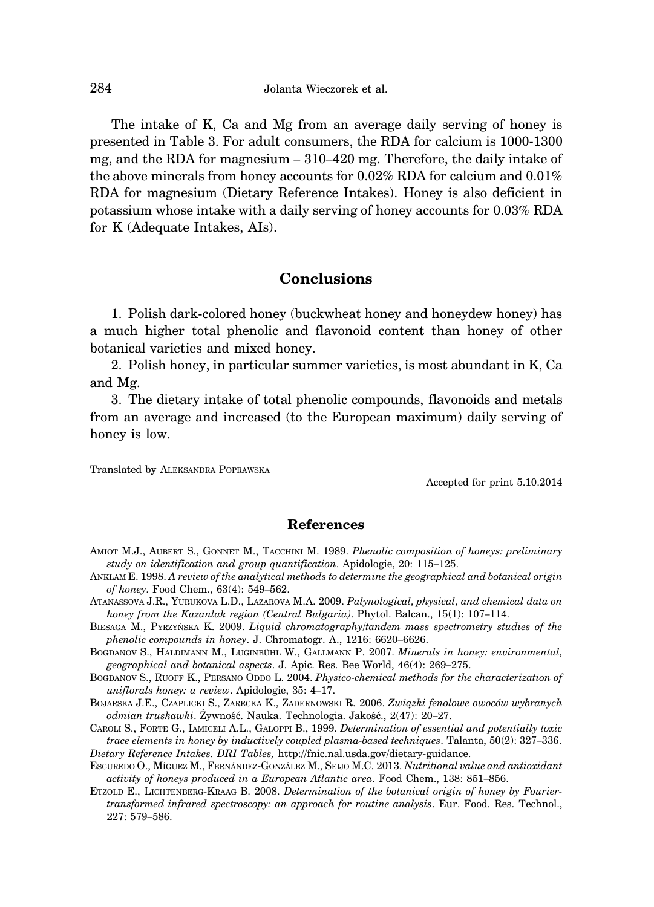The intake of K, Ca and Mg from an average daily serving of honey is presented in Table 3. For adult consumers, the RDA for calcium is 1000-1300 mg, and the RDA for magnesium – 310–420 mg. Therefore, the daily intake of the above minerals from honey accounts for 0.02% RDA for calcium and 0.01% RDA for magnesium (Dietary Reference Intakes). Honey is also deficient in potassium whose intake with a daily serving of honey accounts for 0.03% RDA for K (Adequate Intakes, AIs).

## **Conclusions**

1. Polish dark-colored honey (buckwheat honey and honeydew honey) has a much higher total phenolic and flavonoid content than honey of other botanical varieties and mixed honey.

2. Polish honey, in particular summer varieties, is most abundant in K, Ca and Mg.

3. The dietary intake of total phenolic compounds, flavonoids and metals from an average and increased (to the European maximum) daily serving of honey is low.

Translated by ALEKSANDRA POPRAWSKA

Accepted for print 5.10.2014

### **References**

- AMIOT M.J., AUBERT S., GONNET M., TACCHINI M. 1989. *Phenolic composition of honeys: preliminary study on identification and group quantification*. Apidologie, 20: 115–125.
- ANKLAM E. 1998. *A review of the analytical methods to determine the geographical and botanical origin of honey*. Food Chem., 63(4): 549–562.
- ATANASSOVA J.R., YURUKOVA L.D., LAZAROVA M.A. 2009. *Palynological, physical, and chemical data on honey from the Kazanlak region (Central Bulgaria)*. Phytol. Balcan., 15(1): 107–114.
- BIESAGA M., PYRZYŃSKA K. 2009. *Liquid chromatography/tandem mass spectrometry studies of the phenolic compounds in honey*. J. Chromatogr. A., 1216: 6620–6626.
- BOGDANOV S., HALDIMANN M., LUGINBÜHL W., GALLMANN P. 2007. *Minerals in honey: environmental*, *geographical and botanical aspects*. J. Apic. Res. Bee World, 46(4): 269–275.
- BOGDANOV S., RUOFF K., PERSANO ODDO L. 2004. *Physico-chemical methods for the characterization of uniflorals honey: a review*. Apidologie, 35: 4–17.
- BOJARSKA J.E., CZAPLICKI S., ZARECKA K., ZADERNOWSKI R. 2006. *Związki fenolowe owoców wybranych odmian truskawki*. Żywność. Nauka. Technologia. Jakość., 2(47): 20–27.
- CAROLI S., FORTE G., IAMICELI A.L., GALOPPI B., 1999. *Determination of essential and potentially toxic trace elements in honey by inductively coupled plasma-based techniques*. Talanta, 50(2): 327–336. *Dietary Reference Intakes. DRI Tables,* http://fnic.nal.usda.gov/dietary-guidance.
- ESCUREDO O., MI ´GUEZ M., FERNA´NDEZ-GONZA´LEZ M., SEIJO M.C. 2013. *Nutritional value and antioxidant activity of honeys produced in a European Atlantic area*. Food Chem., 138: 851–856.
- ETZOLD E., LICHTENBERG-KRAAG B. 2008. *Determination of the botanical origin of honey by Fouriertransformed infrared spectroscopy: an approach for routine analysis*. Eur. Food. Res. Technol., 227: 579–586.